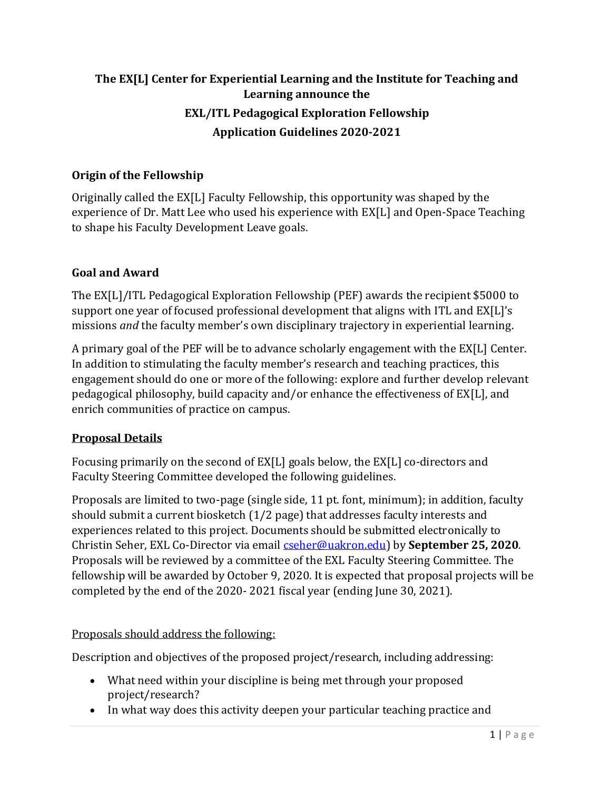# **The EX[L] Center for Experiential Learning and the Institute for Teaching and Learning announce the EXL/ITL Pedagogical Exploration Fellowship Application Guidelines 2020-2021**

## **Origin of the Fellowship**

Originally called the EX[L] Faculty Fellowship, this opportunity was shaped by the experience of Dr. Matt Lee who used his experience with EX[L] and Open-Space Teaching to shape his Faculty Development Leave goals.

### **Goal and Award**

The EX[L]/ITL Pedagogical Exploration Fellowship (PEF) awards the recipient \$5000 to support one year of focused professional development that aligns with ITL and EX[L]'s missions *and* the faculty member's own disciplinary trajectory in experiential learning.

A primary goal of the PEF will be to advance scholarly engagement with the EX[L] Center. In addition to stimulating the faculty member's research and teaching practices, this engagement should do one or more of the following: explore and further develop relevant pedagogical philosophy, build capacity and/or enhance the effectiveness of EX[L], and enrich communities of practice on campus.

### **Proposal Details**

Focusing primarily on the second of EX[L] goals below, the EX[L] co-directors and Faculty Steering Committee developed the following guidelines.

Proposals are limited to two-page (single side, 11 pt. font, minimum); in addition, faculty should submit a current biosketch (1/2 page) that addresses faculty interests and experiences related to this project. Documents should be submitted electronically to Christin Seher, EXL Co-Director via email [cseher@uakron.edu\)](mailto:cseher@uakron.edu) by **September 25, 2020**. Proposals will be reviewed by a committee of the EXL Faculty Steering Committee. The fellowship will be awarded by October 9, 2020. It is expected that proposal projects will be completed by the end of the 2020- 2021 fiscal year (ending June 30, 2021).

### Proposals should address the following:

Description and objectives of the proposed project/research, including addressing:

- What need within your discipline is being met through your proposed project/research?
- In what way does this activity deepen your particular teaching practice and